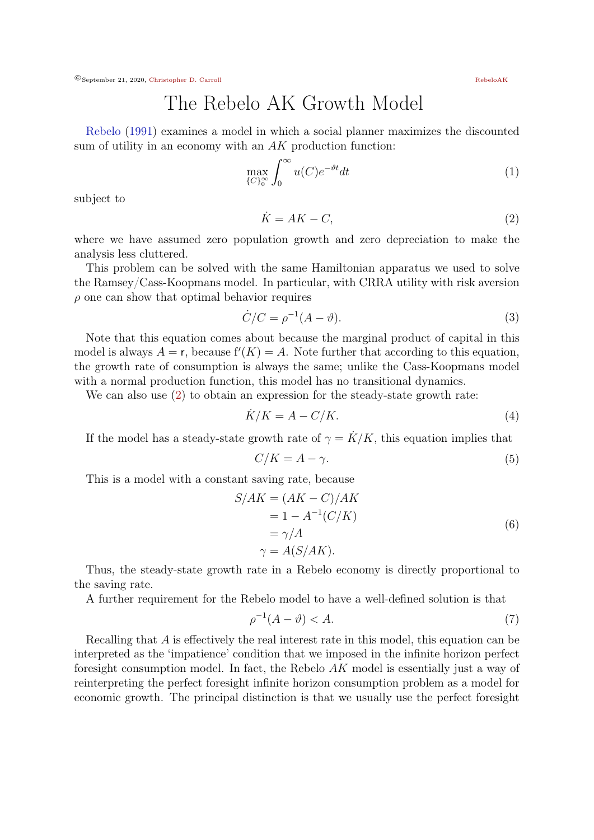©September 21, 2020, [Christopher D. Carroll](http://econ.jhu.edu/people/ccarroll/) [RebeloAK](http://econ.jhu.edu/people/ccarroll/public/lecturenotes)

The Rebelo AK Growth Model

[Rebelo](#page-1-0) [\(1991\)](#page-1-0) examines a model in which a social planner maximizes the discounted sum of utility in an economy with an  $AK$  production function:

$$
\max_{\{C\}_0^{\infty}} \int_0^{\infty} u(C)e^{-\vartheta t} dt
$$
 (1)

subject to

<span id="page-0-0"></span>
$$
\dot{K} = AK - C,\tag{2}
$$

where we have assumed zero population growth and zero depreciation to make the analysis less cluttered.

This problem can be solved with the same Hamiltonian apparatus we used to solve the Ramsey/Cass-Koopmans model. In particular, with CRRA utility with risk aversion  $\rho$  one can show that optimal behavior requires

$$
\dot{C}/C = \rho^{-1}(A - \vartheta). \tag{3}
$$

Note that this equation comes about because the marginal product of capital in this model is always  $A = r$ , because  $f'(K) = A$ . Note further that according to this equation, the growth rate of consumption is always the same; unlike the Cass-Koopmans model with a normal production function, this model has no transitional dynamics.

We can also use [\(2\)](#page-0-0) to obtain an expression for the steady-state growth rate:

$$
\dot{K}/K = A - C/K.\tag{4}
$$

If the model has a steady-state growth rate of  $\gamma = \dot{K}/K$ , this equation implies that

$$
C/K = A - \gamma. \tag{5}
$$

This is a model with a constant saving rate, because

$$
S/AK = (AK - C)/AK
$$
  
= 1 - A<sup>-1</sup>(C/K)  
=  $\gamma/A$   
 $\gamma = A(S/AK).$  (6)

Thus, the steady-state growth rate in a Rebelo economy is directly proportional to the saving rate.

A further requirement for the Rebelo model to have a well-defined solution is that

$$
\rho^{-1}(A - \vartheta) < A. \tag{7}
$$

Recalling that A is effectively the real interest rate in this model, this equation can be interpreted as the 'impatience' condition that we imposed in the infinite horizon perfect foresight consumption model. In fact, the Rebelo AK model is essentially just a way of reinterpreting the perfect foresight infinite horizon consumption problem as a model for economic growth. The principal distinction is that we usually use the perfect foresight